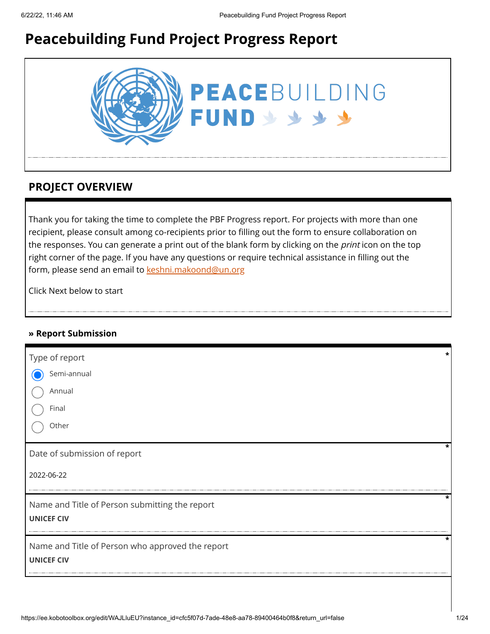# **Peacebuilding Fund Project Progress Report**



## **PROJECT OVERVIEW**

Thank you for taking the time to complete the PBF Progress report. For projects with more than one recipient, please consult among co-recipients prior to filling out the form to ensure collaboration on the responses. You can generate a print out of the blank form by clicking on the *print* icon on the top right corner of the page. If you have any questions or require technical assistance in filling out the form, please send an email to [keshni.makoond@un.org](https://ee.kobotoolbox.org/edit/keshni.makoond@un.org)

Click Next below to start

### **» Report Submission**

| Type of report                                   | * |
|--------------------------------------------------|---|
| Semi-annual                                      |   |
| Annual                                           |   |
| Final                                            |   |
| Other                                            |   |
| Date of submission of report                     | * |
| 2022-06-22                                       |   |
| Name and Title of Person submitting the report   | * |
| <b>UNICEF CIV</b>                                |   |
| Name and Title of Person who approved the report | * |
| <b>UNICEF CIV</b>                                |   |
|                                                  |   |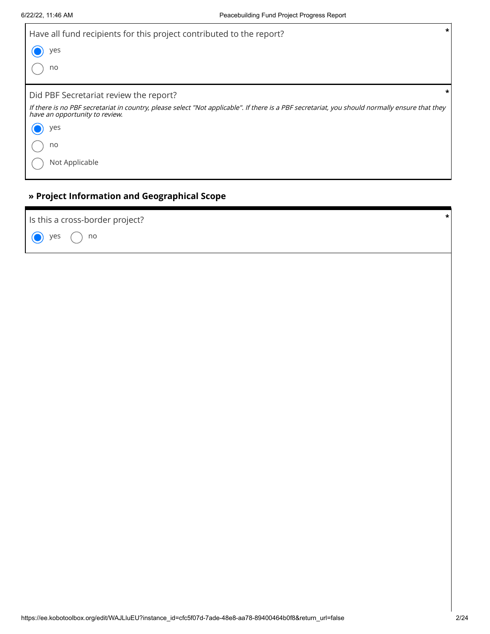| Have all fund recipients for this project contributed to the report?                                                                                                             | $\star$ |
|----------------------------------------------------------------------------------------------------------------------------------------------------------------------------------|---------|
| yes                                                                                                                                                                              |         |
| no                                                                                                                                                                               |         |
| Did PBF Secretariat review the report?                                                                                                                                           |         |
| If there is no PBF secretariat in country, please select "Not applicable". If there is a PBF secretariat, you should normally ensure that they<br>have an opportunity to review. |         |
| yes                                                                                                                                                                              |         |
| no                                                                                                                                                                               |         |
| Not Applicable                                                                                                                                                                   |         |

## **» Project Information and Geographical Scope**

 $\bigodot$  yes  $\bigodot$  no Is this a cross-border project? **\***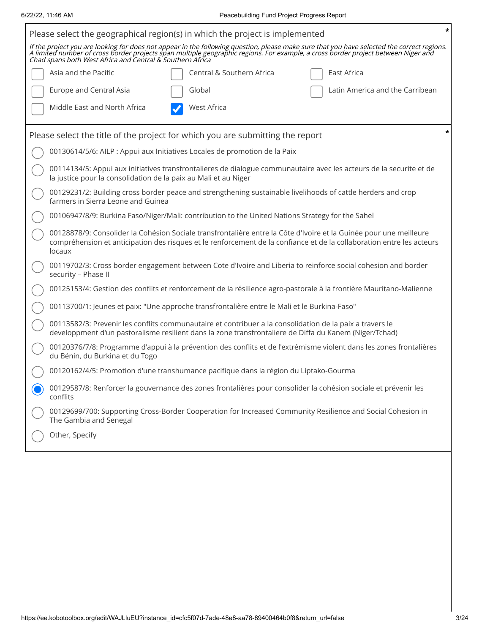| Please select the geographical region(s) in which the project is implemented                                                                                                                                                                          | * |  |  |  |  |  |  |
|-------------------------------------------------------------------------------------------------------------------------------------------------------------------------------------------------------------------------------------------------------|---|--|--|--|--|--|--|
| If the project you are looking for does not appear in the following question, please make sure that you have selected the correct regions.<br>A limited number of cross border projects span multiple geographic regions. For exa                     |   |  |  |  |  |  |  |
| Central & Southern Africa<br>Asia and the Pacific<br>East Africa                                                                                                                                                                                      |   |  |  |  |  |  |  |
| Europe and Central Asia<br>Global<br>Latin America and the Carribean                                                                                                                                                                                  |   |  |  |  |  |  |  |
| Middle East and North Africa<br><b>West Africa</b>                                                                                                                                                                                                    |   |  |  |  |  |  |  |
| Please select the title of the project for which you are submitting the report                                                                                                                                                                        |   |  |  |  |  |  |  |
| 00130614/5/6: AILP : Appui aux Initiatives Locales de promotion de la Paix                                                                                                                                                                            |   |  |  |  |  |  |  |
| 00114134/5: Appui aux initiatives transfrontalieres de dialogue communautaire avec les acteurs de la securite et de<br>la justice pour la consolidation de la paix au Mali et au Niger                                                                |   |  |  |  |  |  |  |
| 00129231/2: Building cross border peace and strengthening sustainable livelihoods of cattle herders and crop<br>farmers in Sierra Leone and Guinea                                                                                                    |   |  |  |  |  |  |  |
| 00106947/8/9: Burkina Faso/Niger/Mali: contribution to the United Nations Strategy for the Sahel                                                                                                                                                      |   |  |  |  |  |  |  |
| 00128878/9: Consolider la Cohésion Sociale transfrontalière entre la Côte d'Ivoire et la Guinée pour une meilleure<br>compréhension et anticipation des risques et le renforcement de la confiance et de la collaboration entre les acteurs<br>locaux |   |  |  |  |  |  |  |
| 00119702/3: Cross border engagement between Cote d'Ivoire and Liberia to reinforce social cohesion and border<br>security - Phase II                                                                                                                  |   |  |  |  |  |  |  |
| 00125153/4: Gestion des conflits et renforcement de la résilience agro-pastorale à la frontière Mauritano-Malienne                                                                                                                                    |   |  |  |  |  |  |  |
| 00113700/1: Jeunes et paix: "Une approche transfrontalière entre le Mali et le Burkina-Faso"                                                                                                                                                          |   |  |  |  |  |  |  |
| 00113582/3: Prevenir les conflits communautaire et contribuer a la consolidation de la paix a travers le<br>developpment d'un pastoralisme resilient dans la zone transfrontaliere de Diffa du Kanem (Niger/Tchad)                                    |   |  |  |  |  |  |  |
| 00120376/7/8: Programme d'appui à la prévention des conflits et de l'extrémisme violent dans les zones frontalières<br>du Bénin, du Burkina et du Togo                                                                                                |   |  |  |  |  |  |  |
| 00120162/4/5: Promotion d'une transhumance pacifique dans la région du Liptako-Gourma                                                                                                                                                                 |   |  |  |  |  |  |  |
| 00129587/8: Renforcer la gouvernance des zones frontalières pour consolider la cohésion sociale et prévenir les<br>conflits                                                                                                                           |   |  |  |  |  |  |  |
| 00129699/700: Supporting Cross-Border Cooperation for Increased Community Resilience and Social Cohesion in<br>The Gambia and Senegal                                                                                                                 |   |  |  |  |  |  |  |
| Other, Specify                                                                                                                                                                                                                                        |   |  |  |  |  |  |  |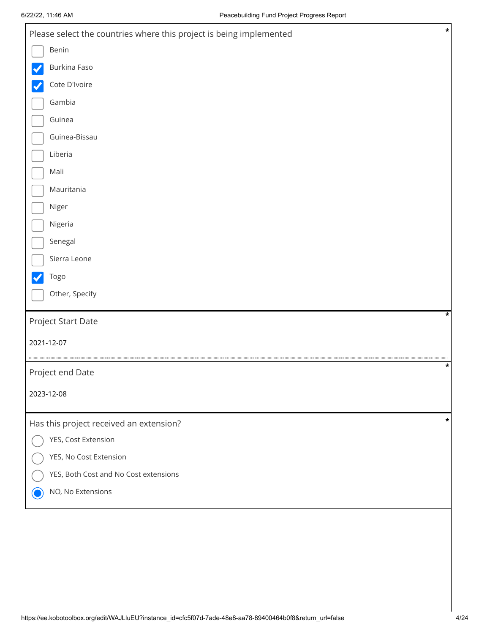| Please select the countries where this project is being implemented | $\ast$  |
|---------------------------------------------------------------------|---------|
| Benin                                                               |         |
| Burkina Faso                                                        |         |
| Cote D'Ivoire                                                       |         |
| Gambia                                                              |         |
| Guinea                                                              |         |
| Guinea-Bissau                                                       |         |
| Liberia                                                             |         |
| Mali                                                                |         |
| Mauritania                                                          |         |
| Niger                                                               |         |
| Nigeria                                                             |         |
| Senegal                                                             |         |
| Sierra Leone                                                        |         |
| Togo                                                                |         |
| Other, Specify                                                      |         |
| Project Start Date                                                  | $\star$ |
| 2021-12-07                                                          |         |
|                                                                     |         |
| Project end Date                                                    | *       |
| 2023-12-08                                                          |         |
| Has this project received an extension?                             | *       |
| YES, Cost Extension                                                 |         |
| YES, No Cost Extension                                              |         |
| YES, Both Cost and No Cost extensions                               |         |
| NO, No Extensions                                                   |         |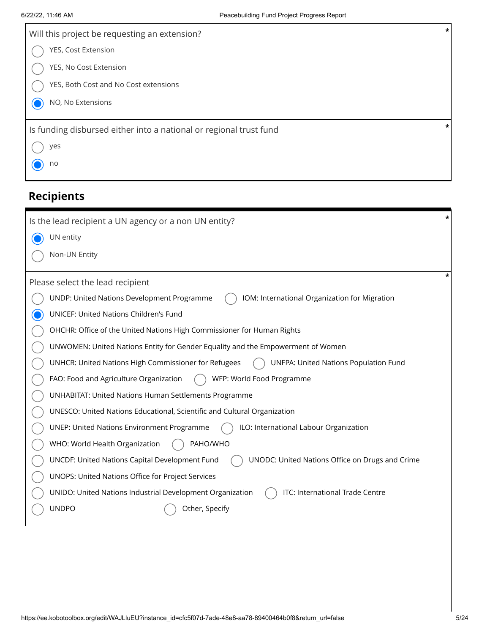| Will this project be requesting an extension?                      | *      |
|--------------------------------------------------------------------|--------|
| YES, Cost Extension                                                |        |
| YES, No Cost Extension                                             |        |
| YES, Both Cost and No Cost extensions                              |        |
| NO, No Extensions                                                  |        |
| Is funding disbursed either into a national or regional trust fund | $\ast$ |
| yes                                                                |        |
| no                                                                 |        |
|                                                                    |        |

# **Recipients**

| *<br>Is the lead recipient a UN agency or a non UN entity?                                        |
|---------------------------------------------------------------------------------------------------|
| UN entity                                                                                         |
| Non-UN Entity                                                                                     |
|                                                                                                   |
| Please select the lead recipient                                                                  |
| UNDP: United Nations Development Programme<br>IOM: International Organization for Migration       |
| UNICEF: United Nations Children's Fund                                                            |
| OHCHR: Office of the United Nations High Commissioner for Human Rights                            |
| UNWOMEN: United Nations Entity for Gender Equality and the Empowerment of Women                   |
| UNHCR: United Nations High Commissioner for Refugees<br>UNFPA: United Nations Population Fund     |
| WFP: World Food Programme<br>FAO: Food and Agriculture Organization                               |
| <b>UNHABITAT: United Nations Human Settlements Programme</b>                                      |
| UNESCO: United Nations Educational, Scientific and Cultural Organization                          |
| ILO: International Labour Organization<br><b>UNEP: United Nations Environment Programme</b>       |
| WHO: World Health Organization<br>PAHO/WHO                                                        |
| UNCDF: United Nations Capital Development Fund<br>UNODC: United Nations Office on Drugs and Crime |
| UNOPS: United Nations Office for Project Services                                                 |
| ITC: International Trade Centre<br>UNIDO: United Nations Industrial Development Organization      |
| <b>UNDPO</b><br>Other, Specify                                                                    |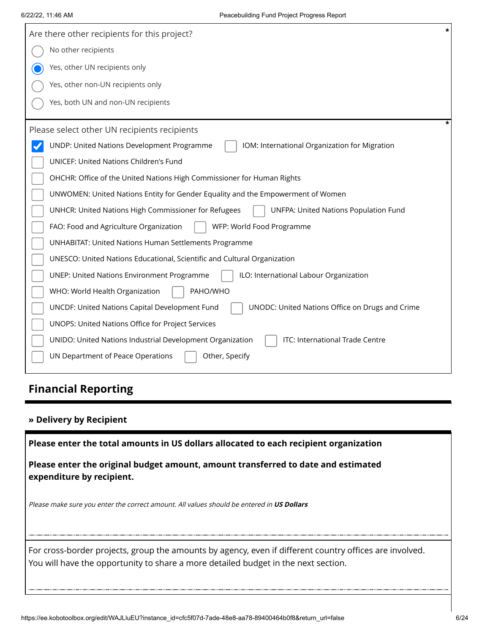| $\star$<br>Are there other recipients for this project?                                              |
|------------------------------------------------------------------------------------------------------|
| No other recipients                                                                                  |
| Yes, other UN recipients only                                                                        |
| Yes, other non-UN recipients only                                                                    |
| Yes, both UN and non-UN recipients                                                                   |
| ÷<br>Please select other UN recipients recipients                                                    |
| UNDP: United Nations Development Programme<br>IOM: International Organization for Migration          |
| <b>UNICEF: United Nations Children's Fund</b>                                                        |
| OHCHR: Office of the United Nations High Commissioner for Human Rights                               |
| UNWOMEN: United Nations Entity for Gender Equality and the Empowerment of Women                      |
| UNHCR: United Nations High Commissioner for Refugees<br><b>UNFPA: United Nations Population Fund</b> |
| WFP: World Food Programme<br>FAO: Food and Agriculture Organization                                  |
| <b>UNHABITAT: United Nations Human Settlements Programme</b>                                         |
| UNESCO: United Nations Educational, Scientific and Cultural Organization                             |
| ILO: International Labour Organization<br><b>UNEP: United Nations Environment Programme</b>          |
| WHO: World Health Organization<br>PAHO/WHO                                                           |
| UNCDF: United Nations Capital Development Fund<br>UNODC: United Nations Office on Drugs and Crime    |
| UNOPS: United Nations Office for Project Services                                                    |
| ITC: International Trade Centre<br>UNIDO: United Nations Industrial Development Organization         |
| UN Department of Peace Operations<br>Other, Specify                                                  |

# **Financial Reporting**

### **» Delivery by Recipient**

**Please enter the total amounts in US dollars allocated to each recipient organization**

**Please enter the original budget amount, amount transferred to date and estimated expenditure by recipient.**

Please make sure you enter the correct amount. All values should be entered in **US Dollars**

For cross-border projects, group the amounts by agency, even if different country offices are involved. You will have the opportunity to share a more detailed budget in the next section.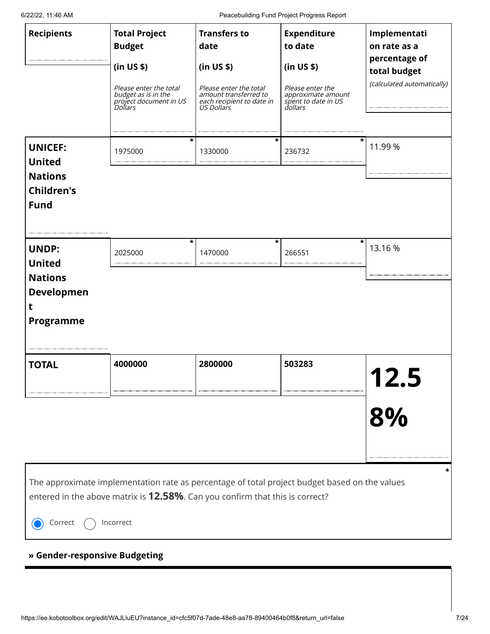6/22/22, 11:46 AM Peacebuilding Fund Project Progress Report

| <b>Recipients</b>                                                                             | <b>Total Project</b><br><b>Budget</b><br>(in US \$)<br>Please enter the total<br>budget as is in the<br>project document in US<br><i>Dollars</i><br>*                                              | <b>Transfers to</b><br>date<br>(in US \$)<br>Please enter the total<br>amount transferred to<br>each recipient to date in<br>US Dollars<br>* | <b>Expenditure</b><br>to date<br>(in US \$)<br>Please enter the<br>approximate amount<br>spent to date in US<br>dollars | Implementati<br>on rate as a<br>percentage of<br>total budget<br>(calculated automatically) |
|-----------------------------------------------------------------------------------------------|----------------------------------------------------------------------------------------------------------------------------------------------------------------------------------------------------|----------------------------------------------------------------------------------------------------------------------------------------------|-------------------------------------------------------------------------------------------------------------------------|---------------------------------------------------------------------------------------------|
| <b>UNICEF:</b><br><b>United</b><br><b>Nations</b><br><b>Children's</b><br><b>Fund</b>         | 1975000                                                                                                                                                                                            | 1330000                                                                                                                                      | 236732                                                                                                                  | 11.99 %                                                                                     |
| <b>UNDP:</b><br><b>United</b><br><b>Nations</b><br><b>Developmen</b><br>t<br><b>Programme</b> | *<br>2025000                                                                                                                                                                                       | *<br>1470000                                                                                                                                 | *<br>266551                                                                                                             | 13.16 %                                                                                     |
| <b>TOTAL</b>                                                                                  | 4000000                                                                                                                                                                                            | 2800000                                                                                                                                      | 503283                                                                                                                  | 8%                                                                                          |
| Correct<br>» Gender-responsive Budgeting                                                      | The approximate implementation rate as percentage of total project budget based on the values<br>entered in the above matrix is <b>12.58%</b> . Can you confirm that this is correct?<br>Incorrect |                                                                                                                                              |                                                                                                                         |                                                                                             |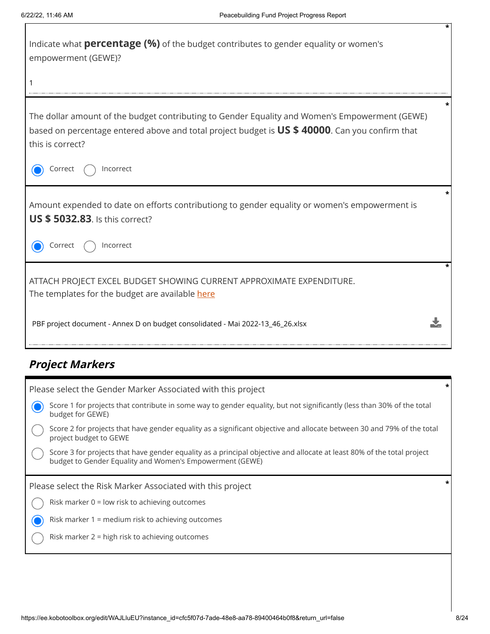| Indicate what <b>percentage (%)</b> of the budget contributes to gender equality or women's<br>empowerment (GEWE)?                                                                                                    |  |
|-----------------------------------------------------------------------------------------------------------------------------------------------------------------------------------------------------------------------|--|
|                                                                                                                                                                                                                       |  |
| The dollar amount of the budget contributing to Gender Equality and Women's Empowerment (GEWE)<br>based on percentage entered above and total project budget is US \$ 40000. Can you confirm that<br>this is correct? |  |
| Incorrect<br>Correct                                                                                                                                                                                                  |  |
| Amount expended to date on efforts contributiong to gender equality or women's empowerment is<br><b>US \$ 5032.83.</b> Is this correct?                                                                               |  |
| Incorrect<br>Correct                                                                                                                                                                                                  |  |
| ATTACH PROJECT EXCEL BUDGET SHOWING CURRENT APPROXIMATE EXPENDITURE.<br>The templates for the budget are available here                                                                                               |  |
| PBF project document - Annex D on budget consolidated - Mai 2022-13_46_26.xlsx                                                                                                                                        |  |

# **Project Markers**

| Please select the Gender Marker Associated with this project                                                                                                                       |  |
|------------------------------------------------------------------------------------------------------------------------------------------------------------------------------------|--|
| Score 1 for projects that contribute in some way to gender equality, but not significantly (less than 30% of the total<br>budget for GEWE)                                         |  |
| Score 2 for projects that have gender equality as a significant objective and allocate between 30 and 79% of the total<br>project budget to GEWE                                   |  |
| Score 3 for projects that have gender equality as a principal objective and allocate at least 80% of the total project<br>budget to Gender Equality and Women's Empowerment (GEWE) |  |
|                                                                                                                                                                                    |  |
| Please select the Risk Marker Associated with this project                                                                                                                         |  |
| Risk marker $0 =$ low risk to achieving outcomes                                                                                                                                   |  |
| Risk marker 1 = medium risk to achieving outcomes                                                                                                                                  |  |
| Risk marker 2 = high risk to achieving outcomes                                                                                                                                    |  |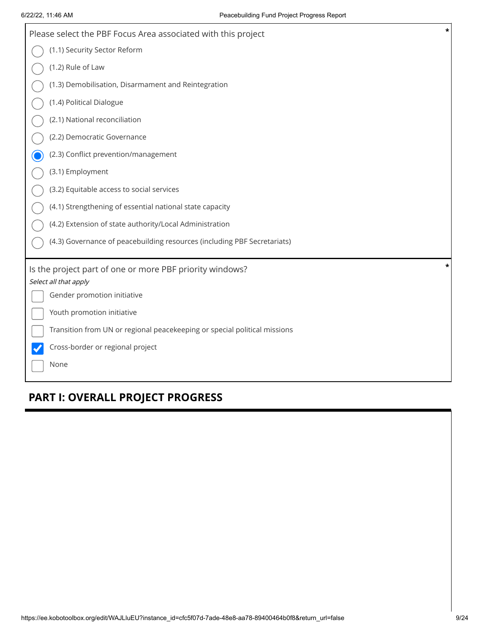| $\star$<br>Please select the PBF Focus Area associated with this project  |
|---------------------------------------------------------------------------|
| (1.1) Security Sector Reform                                              |
| (1.2) Rule of Law                                                         |
| (1.3) Demobilisation, Disarmament and Reintegration                       |
| (1.4) Political Dialogue                                                  |
| (2.1) National reconciliation                                             |
| (2.2) Democratic Governance                                               |
| (2.3) Conflict prevention/management                                      |
| (3.1) Employment                                                          |
| (3.2) Equitable access to social services                                 |
| (4.1) Strengthening of essential national state capacity                  |
| (4.2) Extension of state authority/Local Administration                   |
| (4.3) Governance of peacebuilding resources (including PBF Secretariats)  |
| *<br>Is the project part of one or more PBF priority windows?             |
| Select all that apply                                                     |
| Gender promotion initiative                                               |
| Youth promotion initiative                                                |
| Transition from UN or regional peacekeeping or special political missions |
| Cross-border or regional project                                          |
| None                                                                      |
|                                                                           |

# **PART I: OVERALL PROJECT PROGRESS**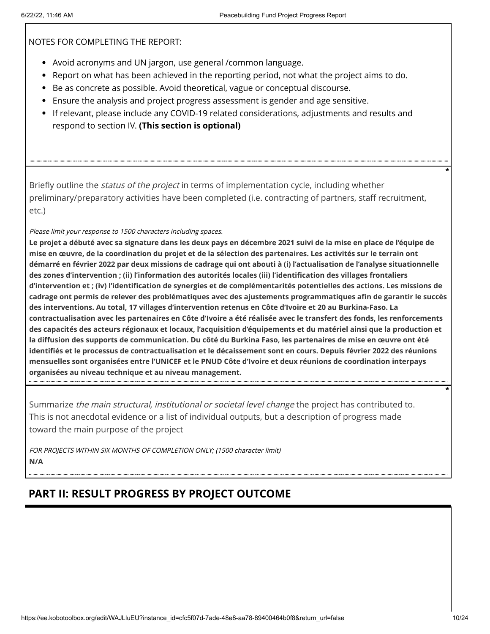NOTES FOR COMPLETING THE REPORT:

- Avoid acronyms and UN jargon, use general /common language.
- Report on what has been achieved in the reporting period, not what the project aims to do.
- **Be as concrete as possible. Avoid theoretical, vague or conceptual discourse.**
- Ensure the analysis and project progress assessment is gender and age sensitive.
- If relevant, please include any COVID-19 related considerations, adjustments and results and respond to section IV. **(This section is optional)**

Briefly outline the *status of the project* in terms of implementation cycle, including whether preliminary/preparatory activities have been completed (i.e. contracting of partners, staff recruitment, etc.)

Please limit your response to 1500 characters including spaces.

**Le projet a débuté avec sa signature dans les deux pays en décembre 2021 suivi de la mise en place de l'équipe de mise en œuvre, de la coordination du projet et de la sélection des partenaires. Les activités sur le terrain ont démarré en février 2022 par deux missions de cadrage qui ont abouti à (i) l'actualisation de l'analyse situationnelle des zones d'intervention ; (ii) l'information des autorités locales (iii) l'identification des villages frontaliers d'intervention et ; (iv) l'identification de synergies et de complémentarités potentielles des actions. Les missions de cadrage ont permis de relever des problématiques avec des ajustements programmatiques afin de garantir le succès des interventions. Au total, 17 villages d'intervention retenus en Côte d'Ivoire et 20 au Burkina-Faso. La contractualisation avec les partenaires en Côte d'Ivoire a été réalisée avec le transfert des fonds, les renforcements des capacités des acteurs régionaux et locaux, l'acquisition d'équipements et du matériel ainsi que la production et la diffusion des supports de communication. Du côté du Burkina Faso, les partenaires de mise en œuvre ont été identifiés et le processus de contractualisation et le décaissement sont en cours. Depuis février 2022 des réunions mensuelles sont organisées entre l'UNICEF et le PNUD Côte d'Ivoire et deux réunions de coordination interpays organisées au niveau technique et au niveau management.**

Summarize the main structural, institutional or societal level change the project has contributed to. This is not anecdotal evidence or a list of individual outputs, but a description of progress made toward the main purpose of the project

FOR PROJECTS WITHIN SIX MONTHS OF COMPLETION ONLY; (1500 character limit) **N/A**

# **PART II: RESULT PROGRESS BY PROJECT OUTCOME**

**\***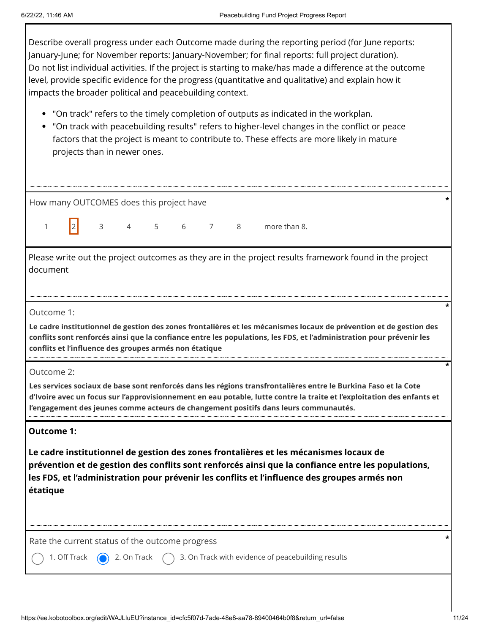Describe overall progress under each Outcome made during the reporting period (for June reports: January-June; for November reports: January-November; for final reports: full project duration). Do not list individual activities. If the project is starting to make/has made a difference at the outcome level, provide specific evidence for the progress (quantitative and qualitative) and explain how it impacts the broader political and peacebuilding context.

- "On track" refers to the timely completion of outputs as indicated in the workplan.
- "On track with peacebuilding results" refers to higher-level changes in the conflict or peace factors that the project is meant to contribute to. These effects are more likely in mature projects than in newer ones.

| How many OUTCOMES does this project have                                                                                                                                                                                                                                                                                                        |                                                                                                                                                                                                                                                                                                                    |   |                |    |  |     |   |              |
|-------------------------------------------------------------------------------------------------------------------------------------------------------------------------------------------------------------------------------------------------------------------------------------------------------------------------------------------------|--------------------------------------------------------------------------------------------------------------------------------------------------------------------------------------------------------------------------------------------------------------------------------------------------------------------|---|----------------|----|--|-----|---|--------------|
| $\mathbf{1}$                                                                                                                                                                                                                                                                                                                                    |                                                                                                                                                                                                                                                                                                                    | 3 | $\overline{4}$ | -5 |  | 6 7 | 8 | more than 8. |
|                                                                                                                                                                                                                                                                                                                                                 | Please write out the project outcomes as they are in the project results framework found in the project<br>document                                                                                                                                                                                                |   |                |    |  |     |   |              |
|                                                                                                                                                                                                                                                                                                                                                 | Outcome 1:<br>Le cadre institutionnel de gestion des zones frontalières et les mécanismes locaux de prévention et de gestion des<br>conflits sont renforcés ainsi que la confiance entre les populations, les FDS, et l'administration pour prévenir les<br>conflits et l'influence des groupes armés non étatique |   |                |    |  |     |   |              |
| Outcome 2:<br>Les services sociaux de base sont renforcés dans les régions transfrontalières entre le Burkina Faso et la Cote<br>d'Ivoire avec un focus sur l'approvisionnement en eau potable, lutte contre la traite et l'exploitation des enfants et<br>l'engagement des jeunes comme acteurs de changement positifs dans leurs communautés. |                                                                                                                                                                                                                                                                                                                    |   |                |    |  |     |   |              |
| <b>Outcome 1:</b><br>Le cadre institutionnel de gestion des zones frontalières et les mécanismes locaux de<br>prévention et de gestion des conflits sont renforcés ainsi que la confiance entre les populations,<br>les FDS, et l'administration pour prévenir les conflits et l'influence des groupes armés non<br>étatique                    |                                                                                                                                                                                                                                                                                                                    |   |                |    |  |     |   |              |
| Rate the current status of the outcome progress<br>3. On Track with evidence of peacebuilding results<br>2. On Track<br>1. Off Track                                                                                                                                                                                                            |                                                                                                                                                                                                                                                                                                                    |   |                |    |  |     |   |              |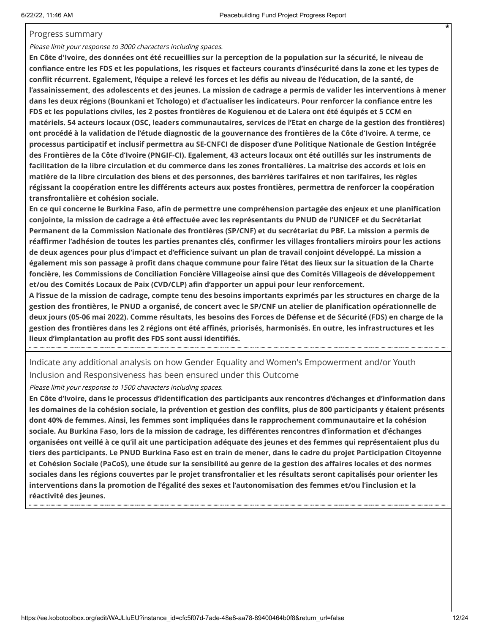#### Progress summary

Please limit your response to 3000 characters including spaces.

**En Côte d'Ivoire, des données ont été recueillies sur la perception de la population sur la sécurité, le niveau de confiance entre les FDS et les populations, les risques et facteurs courants d'insécurité dans la zone et les types de conflit récurrent. Egalement, l'équipe a relevé les forces et les défis au niveau de l'éducation, de la santé, de l'assainissement, des adolescents et des jeunes. La mission de cadrage a permis de valider les interventions à mener dans les deux régions (Bounkani et Tchologo) et d'actualiser les indicateurs. Pour renforcer la confiance entre les FDS et les populations civiles, les 2 postes frontières de Koguienou et de Lalera ont été équipés et 5 CCM en matériels. 54 acteurs locaux (OSC, leaders communautaires, services de l'Etat en charge de la gestion des frontières) ont procédé à la validation de l'étude diagnostic de la gouvernance des frontières de la Côte d'Ivoire. A terme, ce processus participatif et inclusif permettra au SE-CNFCI de disposer d'une Politique Nationale de Gestion Intégrée des Frontières de la Côte d'Ivoire (PNGIF-CI). Egalement, 43 acteurs locaux ont été outillés sur les instruments de facilitation de la libre circulation et du commerce dans les zones frontalières. La maitrise des accords et lois en matière de la libre circulation des biens et des personnes, des barrières tarifaires et non tarifaires, les règles régissant la coopération entre les différents acteurs aux postes frontières, permettra de renforcer la coopération transfrontalière et cohésion sociale.** 

**En ce qui concerne le Burkina Faso, afin de permettre une compréhension partagée des enjeux et une planification conjointe, la mission de cadrage a été effectuée avec les représentants du PNUD de l'UNICEF et du Secrétariat Permanent de la Commission Nationale des frontières (SP/CNF) et du secrétariat du PBF. La mission a permis de réaffirmer l'adhésion de toutes les parties prenantes clés, confirmer les villages frontaliers miroirs pour les actions de deux agences pour plus d'impact et d'efficience suivant un plan de travail conjoint développé. La mission a également mis son passage à profit dans chaque commune pour faire l'état des lieux sur la situation de la Charte foncière, les Commissions de Conciliation Foncière Villageoise ainsi que des Comités Villageois de développement et/ou des Comités Locaux de Paix (CVD/CLP) afin d'apporter un appui pour leur renforcement.** 

**A l'issue de la mission de cadrage, compte tenu des besoins importants exprimés par les structures en charge de la gestion des frontières, le PNUD a organisé, de concert avec le SP/CNF un atelier de planification opérationnelle de deux jours (05-06 mai 2022). Comme résultats, les besoins des Forces de Défense et de Sécurité (FDS) en charge de la gestion des frontières dans les 2 régions ont été affinés, priorisés, harmonisés. En outre, les infrastructures et les lieux d'implantation au profit des FDS sont aussi identifiés.**

Indicate any additional analysis on how Gender Equality and Women's Empowerment and/or Youth Inclusion and Responsiveness has been ensured under this Outcome

Please limit your response to 1500 characters including spaces.

**En Côte d'Ivoire, dans le processus d'identification des participants aux rencontres d'échanges et d'information dans les domaines de la cohésion sociale, la prévention et gestion des conflits, plus de 800 participants y étaient présents dont 40% de femmes. Ainsi, les femmes sont impliquées dans le rapprochement communautaire et la cohésion sociale. Au Burkina Faso, lors de la mission de cadrage, les différentes rencontres d'information et d'échanges organisées ont veillé à ce qu'il ait une participation adéquate des jeunes et des femmes qui représentaient plus du tiers des participants. Le PNUD Burkina Faso est en train de mener, dans le cadre du projet Participation Citoyenne et Cohésion Sociale (PaCoS), une étude sur la sensibilité au genre de la gestion des affaires locales et des normes sociales dans les régions couvertes par le projet transfrontalier et les résultats seront capitalisés pour orienter les interventions dans la promotion de l'égalité des sexes et l'autonomisation des femmes et/ou l'inclusion et la réactivité des jeunes.**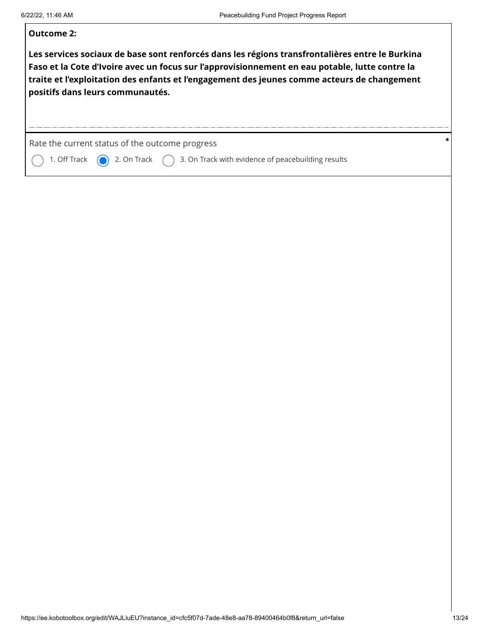### **Outcome 2:**

**Les services sociaux de base sont renforcés dans les régions transfrontalières entre le Burkina Faso et la Cote d'Ivoire avec un focus sur l'approvisionnement en eau potable, lutte contre la traite et l'exploitation des enfants et l'engagement des jeunes comme acteurs de changement positifs dans leurs communautés.**

Rate the current status of the outcome progress **\***

1. Off Track  $\bigcirc$  2. On Track  $\bigcirc$  3. On Track with evidence of peacebuilding results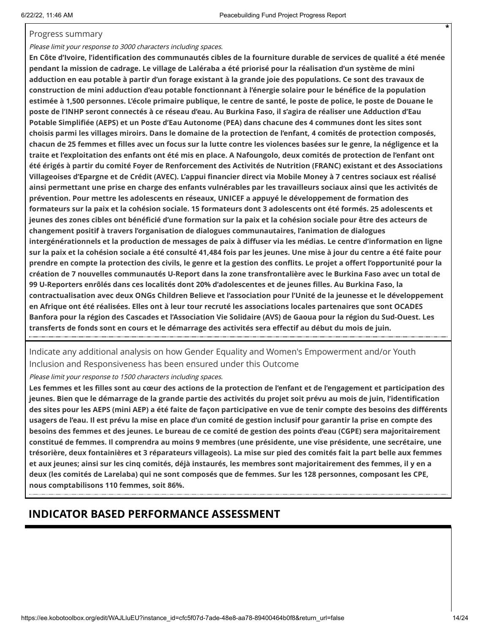#### Progress summary

#### Please limit your response to 3000 characters including spaces.

**En Côte d'Ivoire, l'identification des communautés cibles de la fourniture durable de services de qualité a été menée pendant la mission de cadrage. Le village de Laléraba a été priorisé pour la réalisation d'un système de mini adduction en eau potable à partir d'un forage existant à la grande joie des populations. Ce sont des travaux de construction de mini adduction d'eau potable fonctionnant à l'énergie solaire pour le bénéfice de la population estimée à 1,500 personnes. L'école primaire publique, le centre de santé, le poste de police, le poste de Douane le poste de l'INHP seront connectés à ce réseau d'eau. Au Burkina Faso, il s'agira de réaliser une Adduction d'Eau Potable Simplifiée (AEPS) et un Poste d'Eau Autonome (PEA) dans chacune des 4 communes dont les sites sont choisis parmi les villages miroirs. Dans le domaine de la protection de l'enfant, 4 comités de protection composés, chacun de 25 femmes et filles avec un focus sur la lutte contre les violences basées sur le genre, la négligence et la traite et l'exploitation des enfants ont été mis en place. A Nafoungolo, deux comités de protection de l'enfant ont été érigés à partir du comité Foyer de Renforcement des Activités de Nutrition (FRANC) existant et des Associations Villageoises d'Epargne et de Crédit (AVEC). L'appui financier direct via Mobile Money à 7 centres sociaux est réalisé ainsi permettant une prise en charge des enfants vulnérables par les travailleurs sociaux ainsi que les activités de prévention. Pour mettre les adolescents en réseaux, UNICEF a appuyé le développement de formation des formateurs sur la paix et la cohésion sociale. 15 formateurs dont 3 adolescents ont été formés. 25 adolescents et jeunes des zones cibles ont bénéficié d'une formation sur la paix et la cohésion sociale pour être des acteurs de changement positif à travers l'organisation de dialogues communautaires, l'animation de dialogues intergénérationnels et la production de messages de paix à diffuser via les médias. Le centre d'information en ligne sur la paix et la cohésion sociale a été consulté 41,484 fois par les jeunes. Une mise à jour du centre a été faite pour prendre en compte la protection des civils, le genre et la gestion des conflits. Le projet a offert l'opportunité pour la création de 7 nouvelles communautés U-Report dans la zone transfrontalière avec le Burkina Faso avec un total de 99 U-Reporters enrôlés dans ces localités dont 20% d'adolescentes et de jeunes filles. Au Burkina Faso, la contractualisation avec deux ONGs Children Believe et l'association pour l'Unité de la jeunesse et le développement en Afrique ont été réalisées. Elles ont à leur tour recruté les associations locales partenaires que sont OCADES Banfora pour la région des Cascades et l'Association Vie Solidaire (AVS) de Gaoua pour la région du Sud-Ouest. Les transferts de fonds sont en cours et le démarrage des activités sera effectif au début du mois de juin.**

Indicate any additional analysis on how Gender Equality and Women's Empowerment and/or Youth Inclusion and Responsiveness has been ensured under this Outcome

Please limit your response to 1500 characters including spaces.

**Les femmes et les filles sont au cœur des actions de la protection de l'enfant et de l'engagement et participation des jeunes. Bien que le démarrage de la grande partie des activités du projet soit prévu au mois de juin, l'identification des sites pour les AEPS (mini AEP) a été faite de façon participative en vue de tenir compte des besoins des différents usagers de l'eau. Il est prévu la mise en place d'un comité de gestion inclusif pour garantir la prise en compte des besoins des femmes et des jeunes. Le bureau de ce comité de gestion des points d'eau (CGPE) sera majoritairement constitué de femmes. Il comprendra au moins 9 membres (une présidente, une vise présidente, une secrétaire, une trésorière, deux fontainières et 3 réparateurs villageois). La mise sur pied des comités fait la part belle aux femmes et aux jeunes; ainsi sur les cinq comités, déjà instaurés, les membres sont majoritairement des femmes, il y en a deux (les comités de Larelaba) qui ne sont composés que de femmes. Sur les 128 personnes, composant les CPE, nous comptabilisons 110 femmes, soit 86%.**

## **INDICATOR BASED PERFORMANCE ASSESSMENT**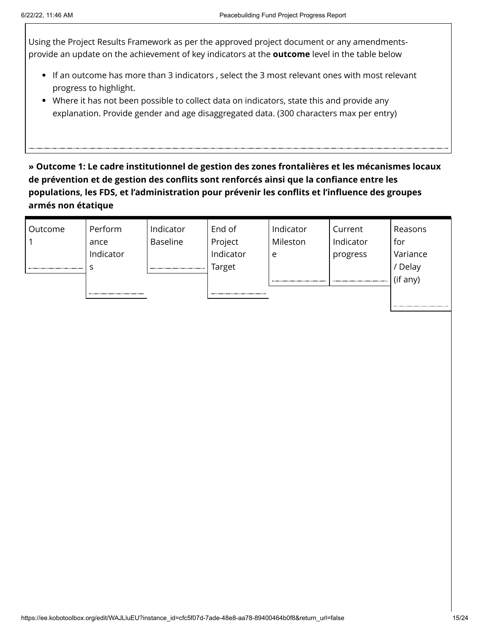Using the Project Results Framework as per the approved project document or any amendmentsprovide an update on the achievement of key indicators at the **outcome** level in the table below

- If an outcome has more than 3 indicators , select the 3 most relevant ones with most relevant progress to highlight.
- Where it has not been possible to collect data on indicators, state this and provide any explanation. Provide gender and age disaggregated data. (300 characters max per entry)

**» Outcome 1: Le cadre institutionnel de gestion des zones frontalières et les mécanismes locaux de prévention et de gestion des conflits sont renforcés ainsi que la confiance entre les populations, les FDS, et l'administration pour prévenir les conflits et l'influence des groupes armés non étatique**

| Outcome | Perform   | Indicator | End of    | Indicator | Current   | Reasons  |
|---------|-----------|-----------|-----------|-----------|-----------|----------|
|         | ance      | Baseline  | Project   | Mileston  | Indicator | for      |
|         | Indicator |           | Indicator | e         | progress  | Variance |
|         |           |           | Target    |           |           | Delay    |
|         |           |           |           |           |           | (if any) |
|         |           |           |           |           |           |          |
|         |           |           |           |           |           |          |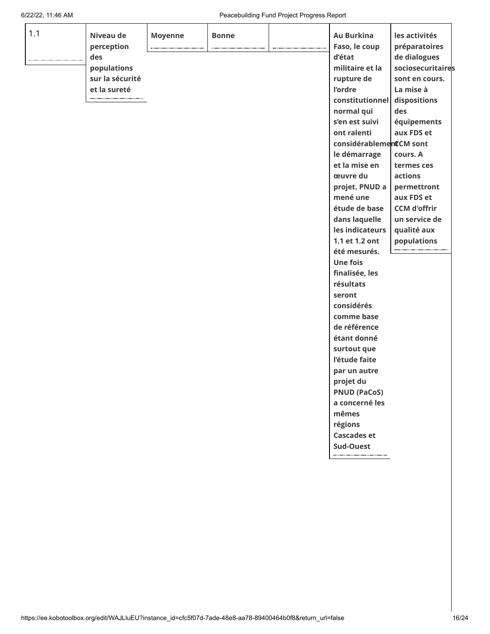#### 6/22/22, 11:46 AM Peacebuilding Fund Project Progress Report

| 1.1 | Niveau de       | <b>Moyenne</b> | <b>Bonne</b> |                              | <b>Au Burkina</b>       | les activités       |  |
|-----|-----------------|----------------|--------------|------------------------------|-------------------------|---------------------|--|
|     | perception      |                |              | ---------------------------- | Faso, le coup           | préparatoires       |  |
|     | des             |                |              |                              | d'état                  | de dialogues        |  |
|     | populations     |                |              |                              | militaire et la         | sociosecuritaires   |  |
|     | sur la sécurité |                |              |                              | rupture de              | sont en cours.      |  |
|     | et la sureté    |                |              |                              | l'ordre                 | La mise à           |  |
|     |                 |                |              |                              | constitutionnel         | dispositions        |  |
|     |                 |                |              |                              | normal qui              | des                 |  |
|     |                 |                |              |                              | s'en est suivi          | équipements         |  |
|     |                 |                |              |                              | ont ralenti             | aux FDS et          |  |
|     |                 |                |              |                              | considérablementCM sont |                     |  |
|     |                 |                |              |                              | le démarrage            | cours. A            |  |
|     |                 |                |              |                              | et la mise en           | termes ces          |  |
|     |                 |                |              |                              | œuvre du                | actions             |  |
|     |                 |                |              |                              | projet. PNUD a          | permettront         |  |
|     |                 |                |              |                              | mené une                | aux FDS et          |  |
|     |                 |                |              |                              | étude de base           | <b>CCM d'offrir</b> |  |
|     |                 |                |              |                              | dans laquelle           | un service de       |  |
|     |                 |                |              |                              | les indicateurs         | qualité aux         |  |
|     |                 |                |              |                              | 1.1 et 1.2 ont          | populations         |  |
|     |                 |                |              |                              | été mesurés.            |                     |  |
|     |                 |                |              |                              | <b>Une fois</b>         |                     |  |
|     |                 |                |              |                              | finalisée, les          |                     |  |
|     |                 |                |              |                              | résultats               |                     |  |
|     |                 |                |              |                              | seront                  |                     |  |
|     |                 |                |              |                              | considérés              |                     |  |
|     |                 |                |              |                              | comme base              |                     |  |
|     |                 |                |              |                              | de référence            |                     |  |
|     |                 |                |              |                              | étant donné             |                     |  |
|     |                 |                |              |                              | surtout que             |                     |  |
|     |                 |                |              |                              | l'étude faite           |                     |  |
|     |                 |                |              |                              | par un autre            |                     |  |
|     |                 |                |              |                              | projet du               |                     |  |
|     |                 |                |              |                              | <b>PNUD (PaCoS)</b>     |                     |  |
|     |                 |                |              |                              | a concerné les          |                     |  |
|     |                 |                |              |                              | mêmes                   |                     |  |
|     |                 |                |              |                              | régions                 |                     |  |
|     |                 |                |              |                              | <b>Cascades et</b>      |                     |  |
|     |                 |                |              |                              | <b>Sud-Ouest</b>        |                     |  |
|     |                 |                |              |                              |                         |                     |  |
|     |                 |                |              |                              |                         |                     |  |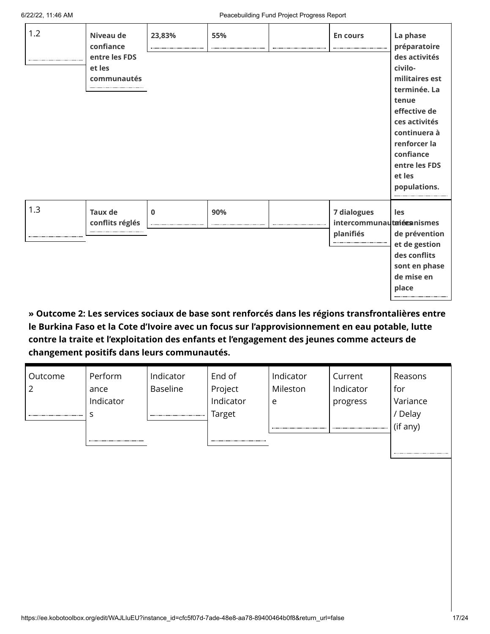| 1.2     | Niveau de<br>confiance<br>entre les FDS<br>et les<br>communautés | 23,83%   | 55% | <b>En cours</b>                                              | La phase<br>préparatoire<br>des activités<br>civilo-<br>militaires est<br>terminée. La<br>tenue<br>effective de<br>ces activités<br>continuera à<br>renforcer la<br>confiance<br>entre les FDS<br>et les<br>populations. |
|---------|------------------------------------------------------------------|----------|-----|--------------------------------------------------------------|--------------------------------------------------------------------------------------------------------------------------------------------------------------------------------------------------------------------------|
| 1.3<br> | <b>Taux de</b><br>conflits réglés                                | $\bf{0}$ | 90% | <b>7 dialogues</b><br>intercommunautaiéesnismes<br>planifiés | les<br>de prévention<br>et de gestion<br>des conflits                                                                                                                                                                    |
|         |                                                                  |          |     |                                                              | sont en phase<br>de mise en<br>place                                                                                                                                                                                     |

**» Outcome 2: Les services sociaux de base sont renforcés dans les régions transfrontalières entre le Burkina Faso et la Cote d'Ivoire avec un focus sur l'approvisionnement en eau potable, lutte contre la traite et l'exploitation des enfants et l'engagement des jeunes comme acteurs de changement positifs dans leurs communautés.**

| Outcome | Perform   | Indicator       | End of    | Indicator | Current   | Reasons  |
|---------|-----------|-----------------|-----------|-----------|-----------|----------|
|         | ance      | <b>Baseline</b> | Project   | Mileston  | Indicator | for      |
|         | Indicator |                 | Indicator | e         | progress  | Variance |
|         |           |                 | Target    |           |           | ' Delay  |
|         |           |                 |           |           |           | (if any) |
|         |           |                 |           |           |           |          |
|         |           |                 |           |           |           |          |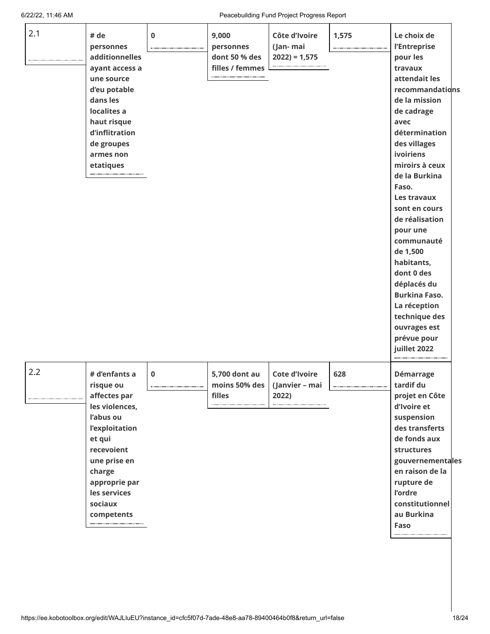6/22/22, 11:46 AM Peacebuilding Fund Project Progress Report

| 2.1 | # de<br>personnes<br>additionnelles<br>ayant access a<br>une source<br>d'eu potable<br>dans les<br>localites a<br>haut risque<br>d'inflitration<br>de groupes<br>armes non<br>etatiques                 | $\mathbf 0$ | 9,000<br>personnes<br>dont 50 % des<br>filles / femmes | Côte d'Ivoire<br>(Jan- mai<br>$2022$ ) = 1,575  | 1,575 | Le choix de<br>l'Entreprise<br>pour les<br>travaux<br>attendait les<br>recommandations<br>de la mission<br>de cadrage<br>avec<br>détermination<br>des villages<br>ivoiriens<br>miroirs à ceux<br>de la Burkina<br>Faso.<br>Les travaux<br>sont en cours<br>de réalisation<br>pour une<br>communauté<br>de 1,500<br>habitants,<br>dont 0 des<br>déplacés du<br><b>Burkina Faso.</b><br>La réception<br>technique des<br>ouvrages est |  |
|-----|---------------------------------------------------------------------------------------------------------------------------------------------------------------------------------------------------------|-------------|--------------------------------------------------------|-------------------------------------------------|-------|-------------------------------------------------------------------------------------------------------------------------------------------------------------------------------------------------------------------------------------------------------------------------------------------------------------------------------------------------------------------------------------------------------------------------------------|--|
| 2.2 | # d'enfants a<br>risque ou<br>affectes par<br>les violences,<br>l'abus ou<br>l'exploitation<br>et qui<br>recevoient<br>une prise en<br>charge<br>approprie par<br>les services<br>sociaux<br>competents | $\mathbf 0$ | 5,700 dont au<br>moins 50% des<br>filles               | <b>Cote d'Ivoire</b><br>(Janvier - mai<br>2022) | 628   | prévue pour<br>juillet 2022<br>Démarrage<br>tardif du<br>projet en Côte<br>d'Ivoire et<br>suspension<br>des transferts<br>de fonds aux<br>structures<br>gouvernementales<br>en raison de la<br>rupture de<br>l'ordre<br>constitutionnel<br>au Burkina<br>Faso                                                                                                                                                                       |  |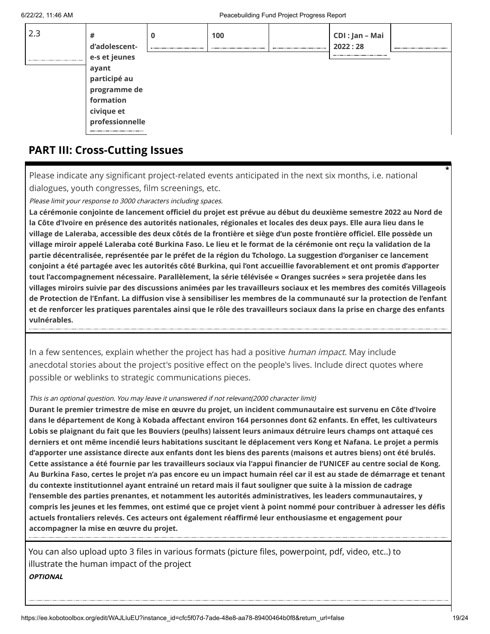| 2.3 | #<br>d'adolescent- | 0 | 100 | CDI: Jan – Mai<br>2022:28 |  |
|-----|--------------------|---|-----|---------------------------|--|
|     | e-s et jeunes      |   |     |                           |  |
|     | ayant              |   |     |                           |  |
|     | participé au       |   |     |                           |  |
|     | programme de       |   |     |                           |  |
|     | formation          |   |     |                           |  |
|     | civique et         |   |     |                           |  |
|     | professionnelle    |   |     |                           |  |
|     |                    |   |     |                           |  |

# **PART III: Cross-Cutting Issues**

Please indicate any significant project-related events anticipated in the next six months, i.e. national dialogues, youth congresses, film screenings, etc.

Please limit your response to 3000 characters including spaces.

**La cérémonie conjointe de lancement officiel du projet est prévue au début du deuxième semestre 2022 au Nord de la Côte d'Ivoire en présence des autorités nationales, régionales et locales des deux pays. Elle aura lieu dans le village de Laleraba, accessible des deux côtés de la frontière et siège d'un poste frontière officiel. Elle possède un village miroir appelé Laleraba coté Burkina Faso. Le lieu et le format de la cérémonie ont reçu la validation de la partie décentralisée, représentée par le préfet de la région du Tchologo. La suggestion d'organiser ce lancement conjoint a été partagée avec les autorités côté Burkina, qui l'ont accueillie favorablement et ont promis d'apporter tout l'accompagnement nécessaire. Parallèlement, la série télévisée « Oranges sucrées » sera projetée dans les villages miroirs suivie par des discussions animées par les travailleurs sociaux et les membres des comités Villageois de Protection de l'Enfant. La diffusion vise à sensibiliser les membres de la communauté sur la protection de l'enfant et de renforcer les pratiques parentales ainsi que le rôle des travailleurs sociaux dans la prise en charge des enfants vulnérables.**

In a few sentences, explain whether the project has had a positive *human impact*. May include anecdotal stories about the project's positive effect on the people's lives. Include direct quotes where possible or weblinks to strategic communications pieces.

#### This is an optional question. You may leave it unanswered if not relevant(2000 character limit)

**Durant le premier trimestre de mise en œuvre du projet, un incident communautaire est survenu en Côte d'Ivoire dans le département de Kong à Kobada affectant environ 164 personnes dont 62 enfants. En effet, les cultivateurs Lobis se plaignant du fait que les Bouviers (peulhs) laissent leurs animaux détruire leurs champs ont attaqué ces derniers et ont même incendié leurs habitations suscitant le déplacement vers Kong et Nafana. Le projet a permis d'apporter une assistance directe aux enfants dont les biens des parents (maisons et autres biens) ont été brulés. Cette assistance a été fournie par les travailleurs sociaux via l'appui financier de l'UNICEF au centre social de Kong. Au Burkina Faso, certes le projet n'a pas encore eu un impact humain réel car il est au stade de démarrage et tenant du contexte institutionnel ayant entrainé un retard mais il faut souligner que suite à la mission de cadrage l'ensemble des parties prenantes, et notamment les autorités administratives, les leaders communautaires, y compris les jeunes et les femmes, ont estimé que ce projet vient à point nommé pour contribuer à adresser les défis actuels frontaliers relevés. Ces acteurs ont également réaffirmé leur enthousiasme et engagement pour accompagner la mise en œuvre du projet.**

You can also upload upto 3 files in various formats (picture files, powerpoint, pdf, video, etc..) to illustrate the human impact of the project **OPTIONAL**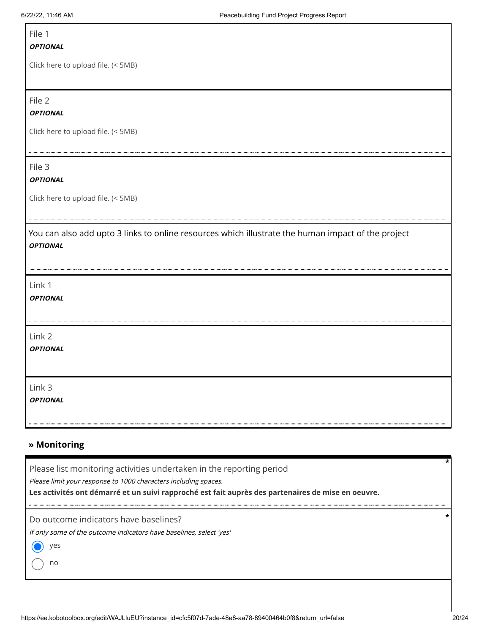### File 1

#### **OPTIONAL**

Click here to upload file. (< 5MB)

File 2

**OPTIONAL**

Click here to upload file. (< 5MB)

### File 3

### **OPTIONAL**

Click here to upload file. (< 5MB)

You can also add upto 3 links to online resources which illustrate the human impact of the project **OPTIONAL**

Link 1

**OPTIONAL**

Link 2

**OPTIONAL**

Link 3

**OPTIONAL**

### **» Monitoring**

Please list monitoring activities undertaken in the reporting period

Please limit your response to 1000 characters including spaces.

**Les activités ont démarré et un suivi rapproché est fait auprès des partenaires de mise en oeuvre.**

Do outcome indicators have baselines?

If only some of the outcome indicators have baselines, select 'yes'

yes

no

**\***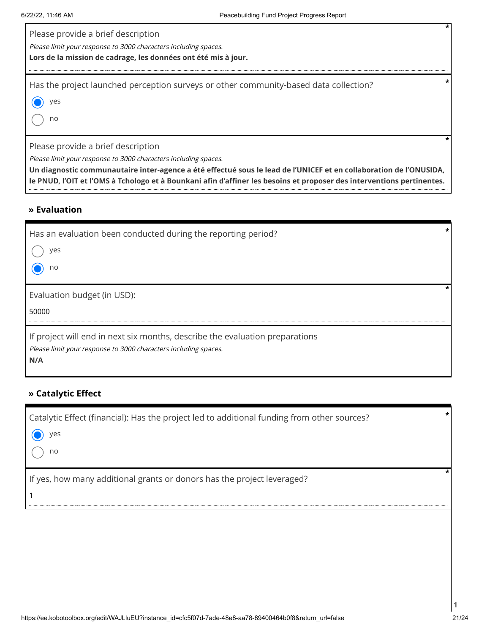| Please provide a brief description<br>Please limit your response to 3000 characters including spaces.<br>Lors de la mission de cadrage, les données ont été mis à jour.                                                     | $\star$ |
|-----------------------------------------------------------------------------------------------------------------------------------------------------------------------------------------------------------------------------|---------|
| Has the project launched perception surveys or other community-based data collection?<br>yes<br>no                                                                                                                          |         |
| Please provide a brief description<br>Please limit your response to 3000 characters including spaces.<br>Un diagnostic communautaire inter-agence a été effectué sous le lead de l'UNICEF et en collaboration de l'ONUSIDA, |         |

**le PNUD, l'OIT et l'OMS à Tchologo et à Bounkani afin d'affiner les besoins et proposer des interventions pertinentes.**

### **» Evaluation**

| Has an evaluation been conducted during the reporting period?<br>ves<br>no                                                                             |  |
|--------------------------------------------------------------------------------------------------------------------------------------------------------|--|
| Evaluation budget (in USD):<br>50000                                                                                                                   |  |
| If project will end in next six months, describe the evaluation preparations<br>Please limit your response to 3000 characters including spaces.<br>N/A |  |

### **» Catalytic Effect**

| Catalytic Effect (financial): Has the project led to additional funding from other sources? | $\star$ |
|---------------------------------------------------------------------------------------------|---------|
| $\bullet$ yes                                                                               |         |
| no                                                                                          |         |
| If yes, how many additional grants or donors has the project leveraged?                     |         |
|                                                                                             |         |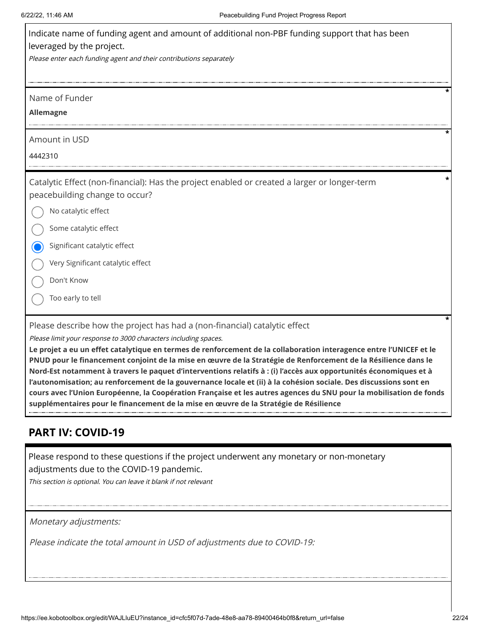| Indicate name of funding agent and amount of additional non-PBF funding support that has been<br>leveraged by the project.                                                                                                                                                                                                                                                                                                                                                                                 |
|------------------------------------------------------------------------------------------------------------------------------------------------------------------------------------------------------------------------------------------------------------------------------------------------------------------------------------------------------------------------------------------------------------------------------------------------------------------------------------------------------------|
| Please enter each funding agent and their contributions separately                                                                                                                                                                                                                                                                                                                                                                                                                                         |
| Name of Funder                                                                                                                                                                                                                                                                                                                                                                                                                                                                                             |
| <b>Allemagne</b>                                                                                                                                                                                                                                                                                                                                                                                                                                                                                           |
| Amount in USD                                                                                                                                                                                                                                                                                                                                                                                                                                                                                              |
| 4442310                                                                                                                                                                                                                                                                                                                                                                                                                                                                                                    |
| Catalytic Effect (non-financial): Has the project enabled or created a larger or longer-term<br>peacebuilding change to occur?                                                                                                                                                                                                                                                                                                                                                                             |
| No catalytic effect                                                                                                                                                                                                                                                                                                                                                                                                                                                                                        |
| Some catalytic effect                                                                                                                                                                                                                                                                                                                                                                                                                                                                                      |
| Significant catalytic effect                                                                                                                                                                                                                                                                                                                                                                                                                                                                               |
| Very Significant catalytic effect                                                                                                                                                                                                                                                                                                                                                                                                                                                                          |
| Don't Know                                                                                                                                                                                                                                                                                                                                                                                                                                                                                                 |
| Too early to tell                                                                                                                                                                                                                                                                                                                                                                                                                                                                                          |
| Please describe how the project has had a (non-financial) catalytic effect<br>Please limit your response to 3000 characters including spaces.<br>Le projet a eu un effet catalytique en termes de renforcement de la collaboration interagence entre l'UNICEF et le<br>PNUD pour le financement conjoint de la mise en œuvre de la Stratégie de Renforcement de la Résilience dans le<br>Nord-Est notamment à travers le paquet d'interventions relatifs à : (i) l'accès aux opportunités économiques et à |

**cours avec l'Union Européenne, la Coopération Française et les autres agences du SNU pour la mobilisation de fonds supplémentaires pour le financement de la mise en œuvre de la Stratégie de Résilience**

# **PART IV: COVID-19**

Please respond to these questions if the project underwent any monetary or non-monetary adjustments due to the COVID-19 pandemic.

**l'autonomisation; au renforcement de la gouvernance locale et (ii) à la cohésion sociale. Des discussions sont en**

This section is optional. You can leave it blank if not relevant

Monetary adjustments:

Please indicate the total amount in USD of adjustments due to COVID-19: